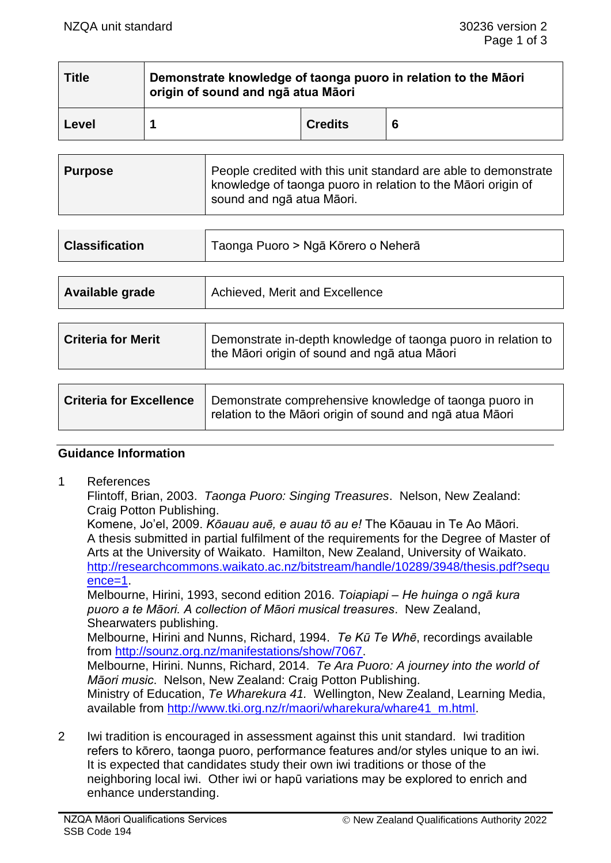| <b>Title</b> | Demonstrate knowledge of taonga puoro in relation to the Māori<br>origin of sound and ngā atua Māori |                |   |  |
|--------------|------------------------------------------------------------------------------------------------------|----------------|---|--|
| Level        |                                                                                                      | <b>Credits</b> | 6 |  |

| ∣ Purpose | People credited with this unit standard are able to demonstrate<br>knowledge of taonga puoro in relation to the Maori origin of<br>sound and ngā atua Māori. |
|-----------|--------------------------------------------------------------------------------------------------------------------------------------------------------------|
|-----------|--------------------------------------------------------------------------------------------------------------------------------------------------------------|

| Taonga Puoro > Ngā Kōrero o Neherā                                                                            |  |
|---------------------------------------------------------------------------------------------------------------|--|
|                                                                                                               |  |
| Achieved, Merit and Excellence                                                                                |  |
|                                                                                                               |  |
| Demonstrate in-depth knowledge of taonga puoro in relation to<br>the Māori origin of sound and ngā atua Māori |  |
|                                                                                                               |  |

| <b>Criteria for Excellence</b> | Demonstrate comprehensive knowledge of taonga puoro in<br>relation to the Māori origin of sound and ngā atua Māori |
|--------------------------------|--------------------------------------------------------------------------------------------------------------------|
|--------------------------------|--------------------------------------------------------------------------------------------------------------------|

## **Guidance Information**

1 References

Flintoff, Brian, 2003. *Taonga Puoro: Singing Treasures*. Nelson, New Zealand: Craig Potton Publishing.

Komene, Jo'el, 2009. *Kōauau auē, e auau tō au e!* The Kōauau in Te Ao Māori. A thesis submitted in partial fulfilment of the requirements for the Degree of Master of Arts at the University of Waikato. Hamilton, New Zealand, University of Waikato. [http://researchcommons.waikato.ac.nz/bitstream/handle/10289/3948/thesis.pdf?sequ](http://researchcommons.waikato.ac.nz/bitstream/handle/10289/3948/thesis.pdf?sequence=1)  $ence=1$ 

Melbourne, Hirini, 1993, second edition 2016. *Toiapiapi – He huinga o ngā kura puoro a te Māori. A collection of Māori musical treasures*. New Zealand, Shearwaters publishing.

Melbourne, Hirini and Nunns, Richard, 1994. *Te Kū Te Whē*, recordings available from [http://sounz.org.nz/manifestations/show/7067.](http://sounz.org.nz/manifestations/show/7067)

Melbourne, Hirini. Nunns, Richard, 2014. *Te Ara Puoro: A journey into the world of Māori music*. Nelson, New Zealand: Craig Potton Publishing. Ministry of Education, *Te Wharekura 41.* Wellington, New Zealand, Learning Media,

available from [http://www.tki.org.nz/r/maori/wharekura/whare41\\_m.html.](http://www.tki.org.nz/r/maori/wharekura/whare41_m.html)

2 Iwi tradition is encouraged in assessment against this unit standard. Iwi tradition refers to kōrero, taonga puoro, performance features and/or styles unique to an iwi. It is expected that candidates study their own iwi traditions or those of the neighboring local iwi. Other iwi or hapū variations may be explored to enrich and enhance understanding.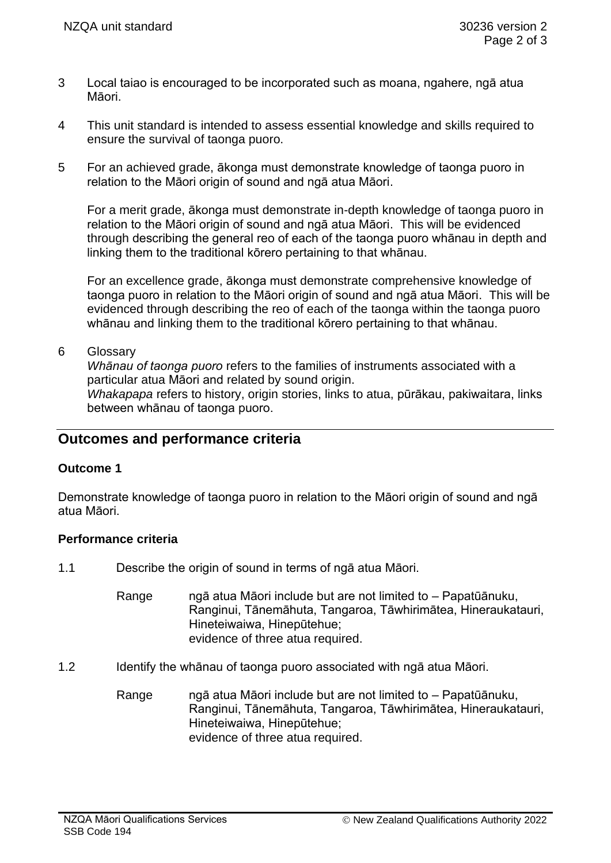- 3 Local taiao is encouraged to be incorporated such as moana, ngahere, ngā atua Māori.
- 4 This unit standard is intended to assess essential knowledge and skills required to ensure the survival of taonga puoro.
- 5 For an achieved grade, ākonga must demonstrate knowledge of taonga puoro in relation to the Māori origin of sound and ngā atua Māori.

For a merit grade, ākonga must demonstrate in-depth knowledge of taonga puoro in relation to the Māori origin of sound and ngā atua Māori. This will be evidenced through describing the general reo of each of the taonga puoro whānau in depth and linking them to the traditional kōrero pertaining to that whānau.

For an excellence grade, ākonga must demonstrate comprehensive knowledge of taonga puoro in relation to the Māori origin of sound and ngā atua Māori. This will be evidenced through describing the reo of each of the taonga within the taonga puoro whānau and linking them to the traditional kōrero pertaining to that whānau.

#### 6 Glossary

*Whānau of taonga puoro* refers to the families of instruments associated with a particular atua Māori and related by sound origin.

*Whakapapa* refers to history, origin stories, links to atua, pūrākau, pakiwaitara, links between whānau of taonga puoro.

# **Outcomes and performance criteria**

## **Outcome 1**

Demonstrate knowledge of taonga puoro in relation to the Māori origin of sound and ngā atua Māori.

## **Performance criteria**

- 1.1 Describe the origin of sound in terms of ngā atua Māori.
	- Range ngā atua Māori include but are not limited to Papatūānuku, Ranginui, Tānemāhuta, Tangaroa, Tāwhirimātea, Hineraukatauri, Hineteiwaiwa, Hinepūtehue; evidence of three atua required.
- 1.2 Identify the whānau of taonga puoro associated with ngā atua Māori.
	- Range ngā atua Māori include but are not limited to Papatūānuku, Ranginui, Tānemāhuta, Tangaroa, Tāwhirimātea, Hineraukatauri, Hineteiwaiwa, Hinepūtehue; evidence of three atua required.